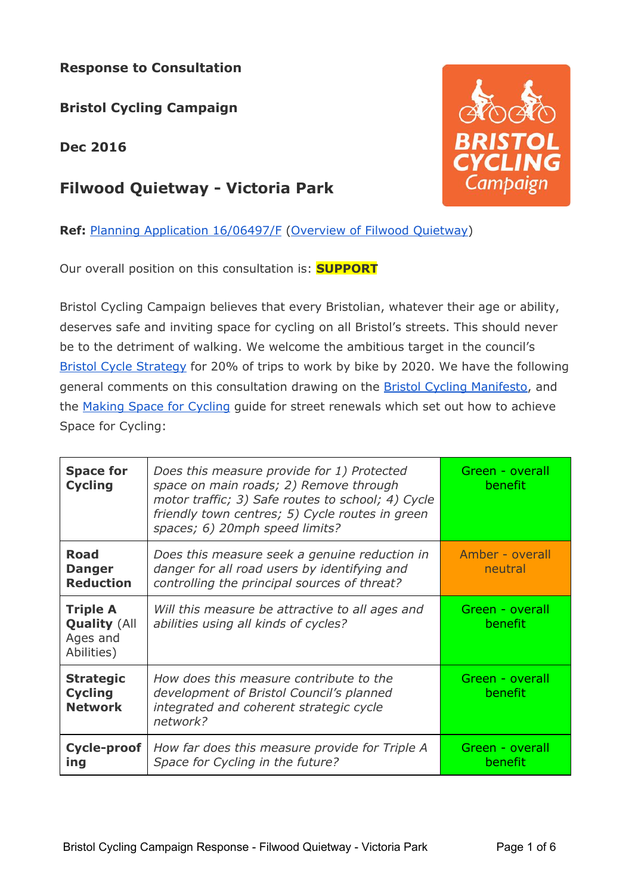## **Response to Consultation**

**Bristol Cycling Campaign**

**Dec 2016**

# **[Filwood Quietway - Victoria Park](http://planningonline.bristol.gov.uk/online-applications/applicationDetails.do?activeTab=summary&keyVal=OHD0KLDNG6G00)**

**Ref:** [Planning Application 16/06497/F](http://planningonline.bristol.gov.uk/online-applications/applicationDetails.do?activeTab=summary&keyVal=OHD0KLDNG6G00) [\(Overview of Filwood Quietway\)](https://filwood.commonplace.is/comments)

Our overall position on this consultation is: **SUPPORT**

Bristol Cycling Campaign believes that every Bristolian, whatever their age or ability, deserves safe and inviting space for cycling on all Bristol's streets. This should never be to the detriment of walking. We welcome the ambitious target in the council's [Bristol Cycle Strategy](http://travelwest.info/cycle/bristol-cycle-strategy) for 20% of trips to work by bike by 2020. We have the following general comments on this consultation drawing on the **Bristol Cycling Manifesto**, and the [Making Space for Cycling](http://makingspaceforcycling.org/) guide for street renewals which set out how to achieve Space for Cycling:

| <b>Space for</b><br><b>Cycling</b>                               | Does this measure provide for 1) Protected<br>space on main roads; 2) Remove through<br>motor traffic; 3) Safe routes to school; 4) Cycle<br>friendly town centres; 5) Cycle routes in green<br>spaces; 6) 20mph speed limits? | Green - overall<br><b>benefit</b> |
|------------------------------------------------------------------|--------------------------------------------------------------------------------------------------------------------------------------------------------------------------------------------------------------------------------|-----------------------------------|
| <b>Road</b><br><b>Danger</b><br><b>Reduction</b>                 | Does this measure seek a genuine reduction in<br>danger for all road users by identifying and<br>controlling the principal sources of threat?                                                                                  | Amber - overall<br>neutral        |
| <b>Triple A</b><br><b>Quality (All</b><br>Ages and<br>Abilities) | Will this measure be attractive to all ages and<br>abilities using all kinds of cycles?                                                                                                                                        | Green - overall<br><b>benefit</b> |
| <b>Strategic</b><br><b>Cycling</b><br><b>Network</b>             | How does this measure contribute to the<br>development of Bristol Council's planned<br>integrated and coherent strategic cycle<br>network?                                                                                     | Green - overall<br><b>benefit</b> |
| Cycle-proof<br>ing                                               | How far does this measure provide for Triple A<br>Space for Cycling in the future?                                                                                                                                             | Green - overall<br>benefit        |

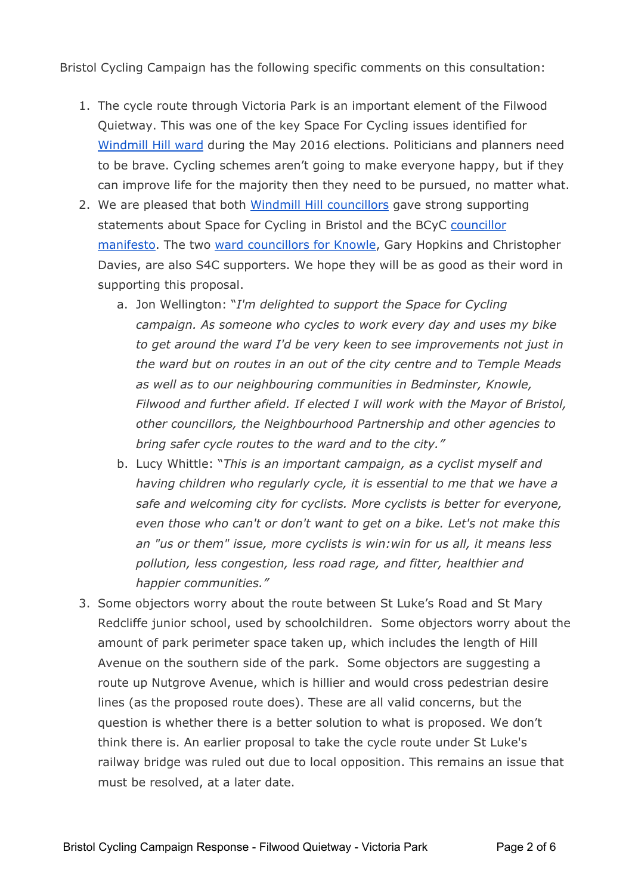Bristol Cycling Campaign has the following specific comments on this consultation:

- 1. The cycle route through Victoria Park is an important element of the Filwood Quietway. This was one of the key Space For Cycling issues identified for [Windmill Hill ward](http://bristolcycling.org.uk/space-for-cycling-2016-site/?wn=Windmill%20Hill) during the May 2016 elections. Politicians and planners need to be brave. Cycling schemes aren't going to make everyone happy, but if they can improve life for the majority then they need to be pursued, no matter what.
- 2. We are pleased that both [Windmill Hill councillors](http://bristolcycling.org.uk/space-for-cycling-2016-site/?wn=Windmill%20Hill) gave strong supporting statements about Space for Cycling in Bristol and the BCyC [councillor](http://bristolcyclingcampaign.org.uk/wp-content/uploads/2016/03/BCyCManifestofor2016CouncilElections.pdf) [manifesto.](http://bristolcyclingcampaign.org.uk/wp-content/uploads/2016/03/BCyCManifestofor2016CouncilElections.pdf) The two [ward councillors for Knowle,](http://bristolcycling.org.uk/space-for-cycling-2016-site/?wn=Knowle) Gary Hopkins and Christopher Davies, are also S4C supporters. We hope they will be as good as their word in supporting this proposal.
	- a. Jon Wellington: "*I'm delighted to support the Space for Cycling campaign. As someone who cycles to work every day and uses my bike to get around the ward I'd be very keen to see improvements not just in the ward but on routes in an out of the city centre and to Temple Meads as well as to our neighbouring communities in Bedminster, Knowle, Filwood and further afield. If elected I will work with the Mayor of Bristol, other councillors, the Neighbourhood Partnership and other agencies to bring safer cycle routes to the ward and to the city."*
	- b. Lucy Whittle: "*This is an important campaign, as a cyclist myself and having children who regularly cycle, it is essential to me that we have a safe and welcoming city for cyclists. More cyclists is better for everyone, even those who can't or don't want to get on a bike. Let's not make this an "us or them" issue, more cyclists is win:win for us all, it means less pollution, less congestion, less road rage, and fitter, healthier and happier communities."*
- 3. Some objectors worry about the route between St Luke's Road and St Mary Redcliffe junior school, used by schoolchildren. Some objectors worry about the amount of park perimeter space taken up, which includes the length of Hill Avenue on the southern side of the park. Some objectors are suggesting a route up Nutgrove Avenue, which is hillier and would cross pedestrian desire lines (as the proposed route does). These are all valid concerns, but the question is whether there is a better solution to what is proposed. We don't think there is. An earlier proposal to take the cycle route under St Luke's railway bridge was ruled out due to local opposition. This remains an issue that must be resolved, at a later date.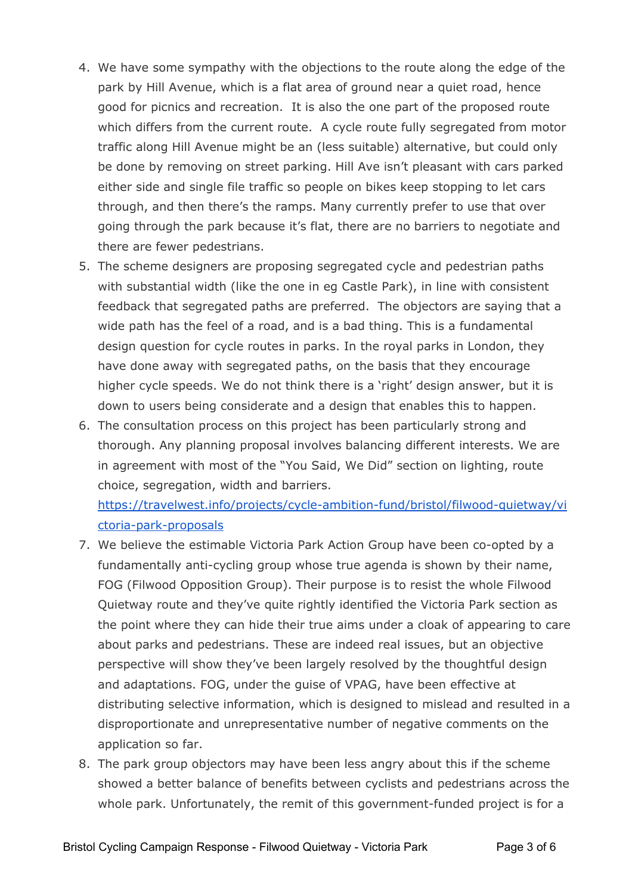- 4. We have some sympathy with the objections to the route along the edge of the park by Hill Avenue, which is a flat area of ground near a quiet road, hence good for picnics and recreation. It is also the one part of the proposed route which differs from the current route. A cycle route fully segregated from motor traffic along Hill Avenue might be an (less suitable) alternative, but could only be done by removing on street parking. Hill Ave isn't pleasant with cars parked either side and single file traffic so people on bikes keep stopping to let cars through, and then there's the ramps. Many currently prefer to use that over going through the park because it's flat, there are no barriers to negotiate and there are fewer pedestrians.
- 5. The scheme designers are proposing segregated cycle and pedestrian paths with substantial width (like the one in eg Castle Park), in line with consistent feedback that segregated paths are preferred. The objectors are saying that a wide path has the feel of a road, and is a bad thing. This is a fundamental design question for cycle routes in parks. In the royal parks in London, they have done away with segregated paths, on the basis that they encourage higher cycle speeds. We do not think there is a 'right' design answer, but it is down to users being considerate and a design that enables this to happen.
- 6. The consultation process on this project has been particularly strong and thorough. Any planning proposal involves balancing different interests. We are in agreement with most of the "You Said, We Did" section on lighting, route choice, segregation, width and barriers.

[https://travelwest.info/projects/cycle-ambition-fund/bristol/filwood-quietway/vi](https://travelwest.info/projects/cycle-ambition-fund/bristol/filwood-quietway/victoria-park-proposals) [ctoria-park-proposals](https://travelwest.info/projects/cycle-ambition-fund/bristol/filwood-quietway/victoria-park-proposals)

- 7. We believe the estimable Victoria Park Action Group have been co-opted by a fundamentally anti-cycling group whose true agenda is shown by their name, FOG (Filwood Opposition Group). Their purpose is to resist the whole Filwood Quietway route and they've quite rightly identified the Victoria Park section as the point where they can hide their true aims under a cloak of appearing to care about parks and pedestrians. These are indeed real issues, but an objective perspective will show they've been largely resolved by the thoughtful design and adaptations. FOG, under the guise of VPAG, have been effective at distributing selective information, which is designed to mislead and resulted in a disproportionate and unrepresentative number of negative comments on the application so far.
- 8. The park group objectors may have been less angry about this if the scheme showed a better balance of benefits between cyclists and pedestrians across the whole park. Unfortunately, the remit of this government-funded project is for a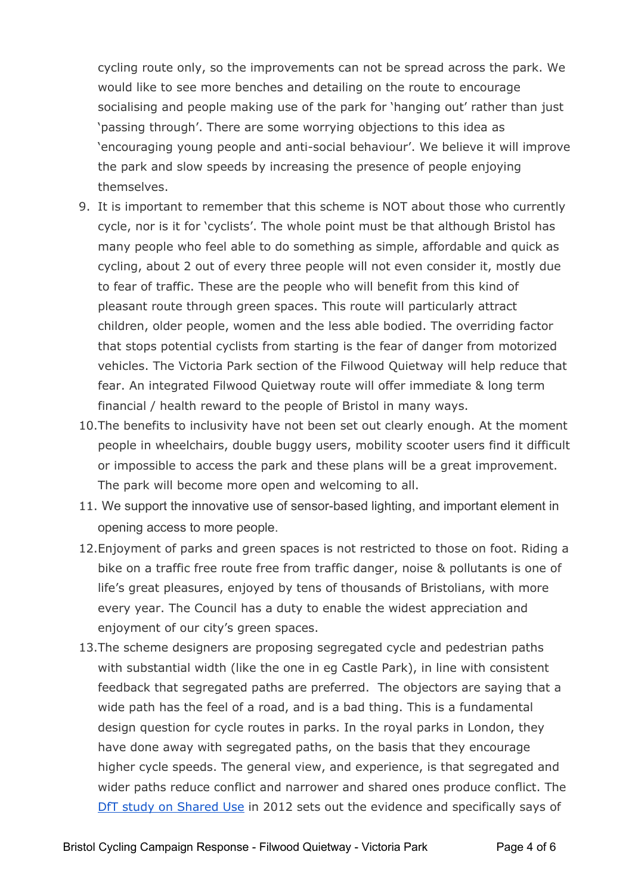cycling route only, so the improvements can not be spread across the park. We would like to see more benches and detailing on the route to encourage socialising and people making use of the park for 'hanging out' rather than just 'passing through'. There are some worrying objections to this idea as 'encouraging young people and anti-social behaviour'. We believe it will improve the park and slow speeds by increasing the presence of people enjoying themselves.

- 9. It is important to remember that this scheme is NOT about those who currently cycle, nor is it for 'cyclists'. The whole point must be that although Bristol has many people who feel able to do something as simple, affordable and quick as cycling, about 2 out of every three people will not even consider it, mostly due to fear of traffic. These are the people who will benefit from this kind of pleasant route through green spaces. This route will particularly attract children, older people, women and the less able bodied. The overriding factor that stops potential cyclists from starting is the fear of danger from motorized vehicles. The Victoria Park section of the Filwood Quietway will help reduce that fear. An integrated Filwood Quietway route will offer immediate & long term financial / health reward to the people of Bristol in many ways.
- 10.The benefits to inclusivity have not been set out clearly enough. At the moment people in wheelchairs, double buggy users, mobility scooter users find it difficult or impossible to access the park and these plans will be a great improvement. The park will become more open and welcoming to all.
- 11. We support the innovative use of sensor-based lighting, and important element in opening access to more people.
- 12.Enjoyment of parks and green spaces is not restricted to those on foot. Riding a bike on a traffic free route free from traffic danger, noise & pollutants is one of life's great pleasures, enjoyed by tens of thousands of Bristolians, with more every year. The Council has a duty to enable the widest appreciation and enjoyment of our city's green spaces.
- 13.The scheme designers are proposing segregated cycle and pedestrian paths with substantial width (like the one in eg Castle Park), in line with consistent feedback that segregated paths are preferred. The objectors are saying that a wide path has the feel of a road, and is a bad thing. This is a fundamental design question for cycle routes in parks. In the royal parks in London, they have done away with segregated paths, on the basis that they encourage higher cycle speeds. The general view, and experience, is that segregated and wider paths reduce conflict and narrower and shared ones produce conflict. The [DfT study on Shared Use](https://www.gov.uk/government/uploads/system/uploads/attachment_data/file/9181/atkins-shared-use-operational-review.pdf) in 2012 sets out the evidence and specifically says of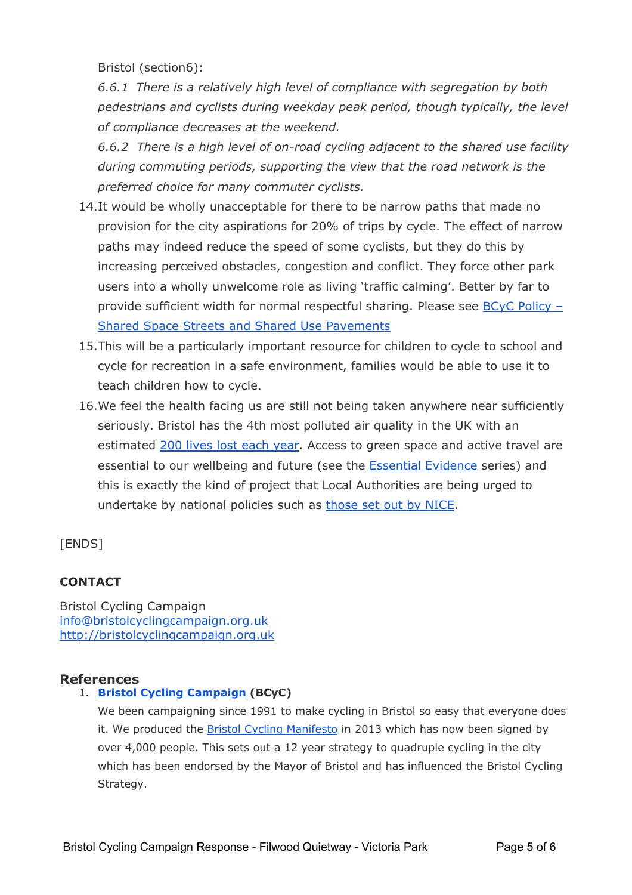Bristol (section6):

*6.6.1 There is a relatively high level of compliance with segregation by both pedestrians and cyclists during weekday peak period, though typically, the level of compliance decreases at the weekend.*

*6.6.2 There is a high level of on-road cycling adjacent to the shared use facility during commuting periods, supporting the view that the road network is the preferred choice for many commuter cyclists.*

- 14.It would be wholly unacceptable for there to be narrow paths that made no provision for the city aspirations for 20% of trips by cycle. The effect of narrow paths may indeed reduce the speed of some cyclists, but they do this by increasing perceived obstacles, congestion and conflict. They force other park users into a wholly unwelcome role as living 'traffic calming'. Better by far to provide sufficient width for normal respectful sharing. Please see [BCyC Policy –](http://bristolcycling.org.uk/bcyc-policy-shared-space-streets-and-shared-use-pavements/) [Shared Space Streets and Shared Use Pavements](http://bristolcycling.org.uk/bcyc-policy-shared-space-streets-and-shared-use-pavements/)
- 15.This will be a particularly important resource for children to cycle to school and cycle for recreation in a safe environment, families would be able to use it to teach children how to cycle.
- 16.We feel the health facing us are still not being taken anywhere near sufficiently seriously. Bristol has the 4th most polluted air quality in the UK with an estimated [200 lives lost each year](https://www.bristol.gov.uk/documents/20182/32675/Health+Impacts+of+Air+Pollution+in+Bristol+-+April+2014/4df2fce5-e2fc-4c22-b5c7-5e7a5ae56701). Access to green space and active travel are essential to our wellbeing and future (see the [Essential Evidence](https://travelwest.info/essentialevidence/health-effects) series) and this is exactly the kind of project that Local Authorities are being urged to undertake by national policies such as [those set out by NICE.](http://publications.nice.org.uk/walking-and-cycling-local-measures-to-promote-walking-and-cycling-as-forms-of-travel-or-recreation-ph41/recommendations)

[ENDS]

### **CONTACT**

Bristol Cycling Campaign [info@bristolcyclingcampaign.org.uk](mailto:info@bristolcyclingcampaign.org.uk) [http://bristolcyclingcampaign.org.uk](http://bristolcyclingcampaign.org.uk/)

### **References**

### 1. **[Bristol Cycling Campaign](http://www.bristolcyclingcampaign.org.uk/) (BCyC)**

We been campaigning since 1991 to make cycling in Bristol so easy that everyone does it. We produced the [Bristol Cycling Manifesto](http://bristolcyclingmanifesto.org.uk/) in 2013 which has now been signed by over 4,000 people. This sets out a 12 year strategy to quadruple cycling in the city which has been endorsed by the Mayor of Bristol and has influenced the Bristol Cycling Strategy.